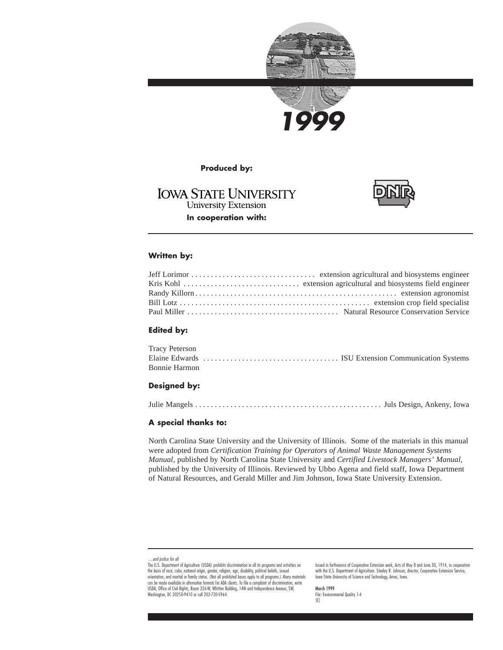



**Produced by:**

## **IOWA STATE UNIVERSITY University Extension In cooperation with:**



### **Written by:**

### **Edited by:**

| Tracy Peterson |  |  |
|----------------|--|--|
|                |  |  |
| Bonnie Harmon  |  |  |

#### **Designed by:**

Julie Mangels . . . . . . . . . . . . . . . . . . . . . . . . . . . . . . . . . . . . . . . . . . . . . . . . Juls Design, Ankeny, Iowa

### **A special thanks to:**

North Carolina State University and the University of Illinois. Some of the materials in this manual were adopted from *Certification Training for Operators of Animal Waste Management Systems Manual,* published by North Carolina State University and *Certified Livestock Managers' Manual,* published by the University of Illinois. Reviewed by Ubbo Agena and field staff, Iowa Department of Natural Resources, and Gerald Miller and Jim Johnson, Iowa State University Extension.

Issued in furtherance of Cooperative Extension work, Acts of May 8 and June 30, 1914, in cooperation with the U.S. Department of Agriculture. Stanley R. Johnson, director, Cooperative Extension Service, Iowa State University of Science and Technology, Ames, Iowa.

March 1999 File: Environmental Quality 1-4 [E]

<sup>…</sup>and justice for all

The U.S. Department of Agriculture (USDA) prohibits discrimination in all its programs and activities on the basis of race, color, national origin, gender, religion, age, disability, political beliefs, sexual<br>orientation, and marital or family status. (Not all prohibited bases apply to all programs.) Many materials can be made available in alternative formats for ADA clients. To file a complaint of discrimination, write USDA, Office of Civil Rights, Room 326-W, Whitten Building, 14th and Independence Avenue, SW, Washington, DC 20250-9410 or call 202-720-5964.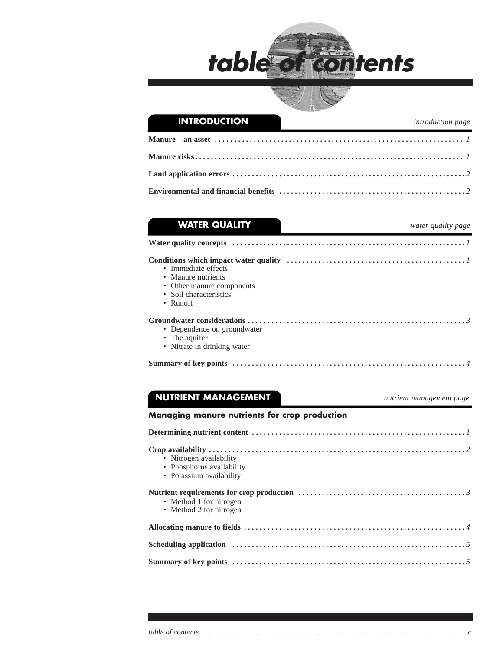



| <b>WATER QUALITY</b>        | water quality page |
|-----------------------------|--------------------|
|                             |                    |
|                             |                    |
| • Immediate effects         |                    |
| • Manure nutrients          |                    |
| • Other manure components   |                    |
| • Soil characteristics      |                    |
| • $Runoff$                  |                    |
|                             |                    |
| • Dependence on groundwater |                    |
| • The aquifer               |                    |
| • Nitrate in drinking water |                    |

 **NUTRIENT MANAGEMENT** *nutrient management page*

### **Managing manure nutrients for crop production**

| Determining nutrient content $\dots \dots \dots \dots \dots \dots \dots \dots \dots \dots \dots \dots \dots \dots \dots$            |
|-------------------------------------------------------------------------------------------------------------------------------------|
| • Nitrogen availability<br>• Phosphorus availability<br>• Potassium availability                                                    |
| • Method 1 for nitrogen<br>• Method 2 for nitrogen                                                                                  |
|                                                                                                                                     |
|                                                                                                                                     |
| Summary of key points $\dots \dots \dots \dots \dots \dots \dots \dots \dots \dots \dots \dots \dots \dots \dots \dots \dots \dots$ |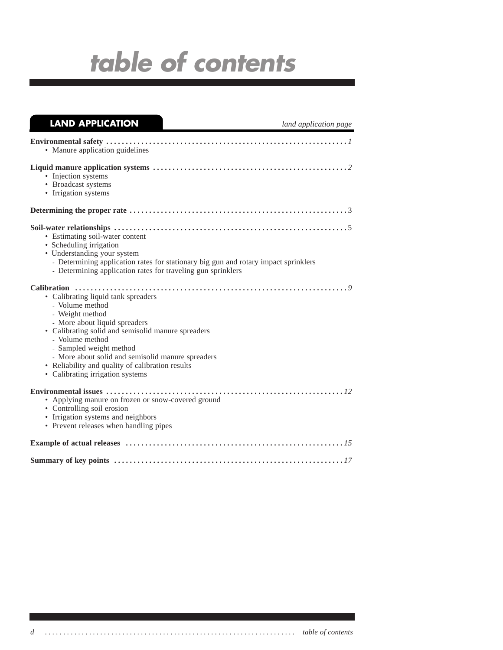| <b>LAND APPLICATION</b>                                                                                                                                                                                                                                                                                                                                     | land application page |
|-------------------------------------------------------------------------------------------------------------------------------------------------------------------------------------------------------------------------------------------------------------------------------------------------------------------------------------------------------------|-----------------------|
| • Manure application guidelines                                                                                                                                                                                                                                                                                                                             |                       |
| • Injection systems<br>• Broadcast systems<br>• Irrigation systems                                                                                                                                                                                                                                                                                          |                       |
|                                                                                                                                                                                                                                                                                                                                                             |                       |
| • Estimating soil-water content<br>• Scheduling irrigation<br>• Understanding your system<br>- Determining application rates for stationary big gun and rotary impact sprinklers<br>- Determining application rates for traveling gun sprinklers                                                                                                            |                       |
| • Calibrating liquid tank spreaders<br>- Volume method<br>- Weight method<br>- More about liquid spreaders<br>• Calibrating solid and semisolid manure spreaders<br>- Volume method<br>- Sampled weight method<br>- More about solid and semisolid manure spreaders<br>• Reliability and quality of calibration results<br>• Calibrating irrigation systems |                       |
| • Applying manure on frozen or snow-covered ground<br>• Controlling soil erosion<br>• Irrigation systems and neighbors<br>• Prevent releases when handling pipes                                                                                                                                                                                            |                       |
|                                                                                                                                                                                                                                                                                                                                                             |                       |
|                                                                                                                                                                                                                                                                                                                                                             |                       |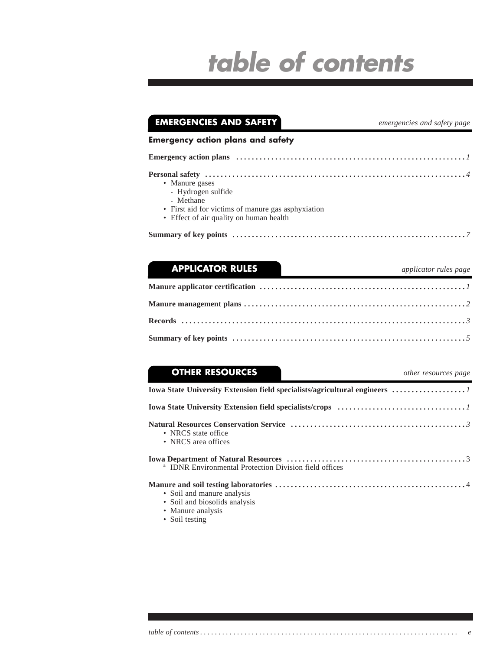| <b>EMERGENCIES AND SAFETY</b>                                                                                                                      | emergencies and safety page |
|----------------------------------------------------------------------------------------------------------------------------------------------------|-----------------------------|
| <b>Emergency action plans and safety</b>                                                                                                           |                             |
|                                                                                                                                                    |                             |
| • Manure gases<br>- Hydrogen sulfide<br>- Methane<br>• First aid for victims of manure gas asphyxiation<br>• Effect of air quality on human health |                             |
|                                                                                                                                                    |                             |

| <b>APPLICATOR RULES</b> | applicator rules page<br>$\overline{\phantom{a}}$ . The contract of $\overline{\phantom{a}}$                                  |
|-------------------------|-------------------------------------------------------------------------------------------------------------------------------|
|                         |                                                                                                                               |
|                         |                                                                                                                               |
|                         |                                                                                                                               |
|                         | Summary of key points $\dots \dots \dots \dots \dots \dots \dots \dots \dots \dots \dots \dots \dots \dots \dots \dots \dots$ |

## **OTHER RESOURCES** *other resources page* **Iowa State University Extension field specialists/agricultural engineers . . . . . . . . . . . . . . . . . . .** *1* **Iowa State University Extension field specialists/crops . . . . . . . . . . . . . . . . . . . . . . . . . . . . . . . . .** *1* **Natural Resources Conservation Service . . . . . . . . . . . . . . . . . . . . . . . . . . . . . . . . . . . . . . . . . . . . .** *3* • NRCS state office • NRCS area offices **Iowa Department of Natural Resources . . . . . . . . . . . . . . . . . . . . . . . . . . . . . . . . . . . . . . . . . . . . . .** 3 ª IDNR Environmental Protection Division field offices **Manure and soil testing laboratories . . . . . . . . . . . . . . . . . . . . . . . . . . . . . . . . . . . . . . . . . . . . . . . . .** 4 • Soil and manure analysis • Soil and biosolids analysis • Manure analysis • Soil testing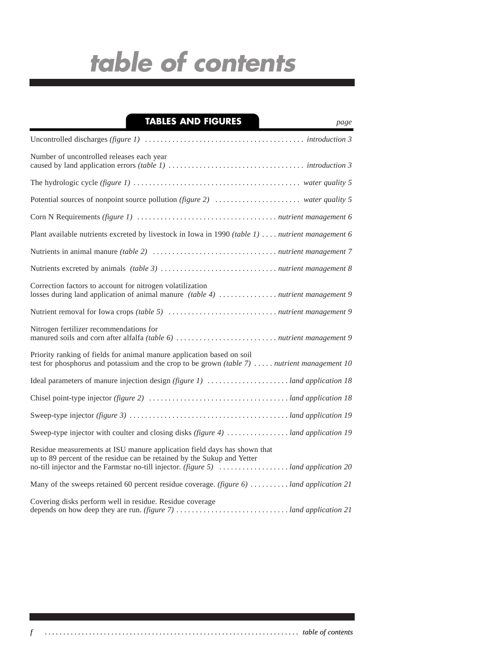## **TABLES AND FIGURES** *page*

| ۹ |
|---|
|   |
|   |

| Number of uncontrolled releases each year                                                                                                                               |
|-------------------------------------------------------------------------------------------------------------------------------------------------------------------------|
|                                                                                                                                                                         |
| Potential sources of nonpoint source pollution (figure 2)  water quality 5                                                                                              |
|                                                                                                                                                                         |
| Plant available nutrients excreted by livestock in Iowa in 1990 (table 1)  . nutrient management 6                                                                      |
|                                                                                                                                                                         |
|                                                                                                                                                                         |
| Correction factors to account for nitrogen volatilization                                                                                                               |
|                                                                                                                                                                         |
| Nitrogen fertilizer recommendations for                                                                                                                                 |
| Priority ranking of fields for animal manure application based on soil<br>test for phosphorus and potassium and the crop to be grown (table $7)$ nutrient management 10 |
|                                                                                                                                                                         |
|                                                                                                                                                                         |
|                                                                                                                                                                         |
| Sweep-type injector with coulter and closing disks (figure 4)  land application 19                                                                                      |
| Residue measurements at ISU manure application field days has shown that<br>up to 89 percent of the residue can be retained by the Sukup and Yetter                     |
| Many of the sweeps retained 60 percent residue coverage. (figure 6)  land application 21                                                                                |
| Covering disks perform well in residue. Residue coverage                                                                                                                |

*f . . . . . . . . . . . . . . . . . . . . . . . . . . . . . . . . . . . . . . . . . . . . . . . . . . . . . . . . . . . . . . . . . . . . . table of contents*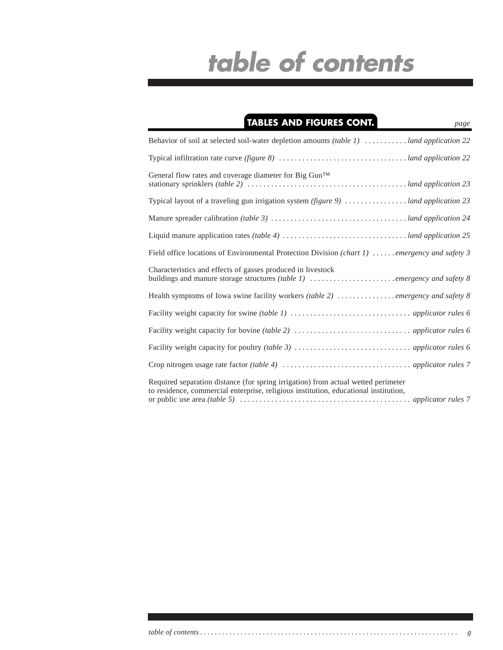| <b>TABLES AND FIGURES CONT.</b><br>page                                                                                                                                   |
|---------------------------------------------------------------------------------------------------------------------------------------------------------------------------|
| Behavior of soil at selected soil-water depletion amounts (table 1) $\dots \dots \dots$ land application 22                                                               |
|                                                                                                                                                                           |
| General flow rates and coverage diameter for Big Gun <sup>TM</sup>                                                                                                        |
| Typical layout of a traveling gun irrigation system (figure 9)  land application 23                                                                                       |
|                                                                                                                                                                           |
|                                                                                                                                                                           |
| Field office locations of Environmental Protection Division (chart 1)  emergency and safety 3                                                                             |
| Characteristics and effects of gasses produced in livestock                                                                                                               |
| Health symptoms of Iowa swine facility workers (table 2) emergency and safety 8                                                                                           |
|                                                                                                                                                                           |
|                                                                                                                                                                           |
|                                                                                                                                                                           |
|                                                                                                                                                                           |
| Required separation distance (for spring irrigation) from actual wetted perimeter<br>to residence, commercial enterprise, religious institution, educational institution, |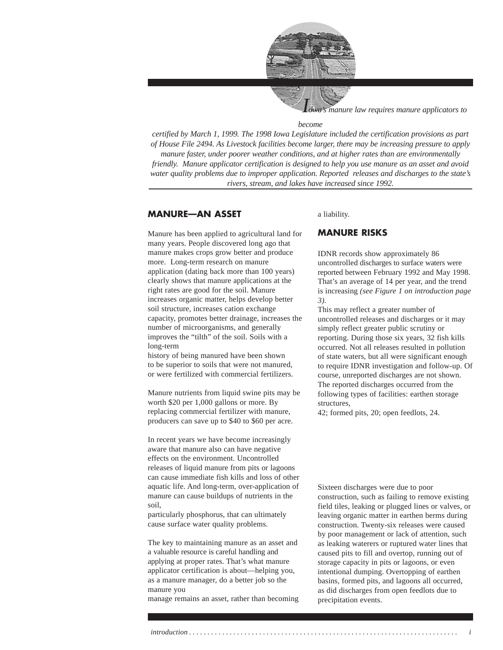

*manure law requires manure applicators to* 

#### *become*

*certified by March 1, 1999. The 1998 Iowa Legislature included the certification provisions as part of House File 2494. As Livestock facilities become larger, there may be increasing pressure to apply manure faster, under poorer weather conditions, and at higher rates than are environmentally friendly. Manure applicator certification is designed to help you use manure as an asset and avoid water quality problems due to improper application. Reported releases and discharges to the state's rivers, stream, and lakes have increased since 1992.*

## **MANURE—AN ASSET**

Manure has been applied to agricultural land for many years. People discovered long ago that manure makes crops grow better and produce more. Long-term research on manure application (dating back more than 100 years) clearly shows that manure applications at the right rates are good for the soil. Manure increases organic matter, helps develop better soil structure, increases cation exchange capacity, promotes better drainage, increases the number of microorganisms, and generally improves the "tilth" of the soil. Soils with a long-term

history of being manured have been shown to be superior to soils that were not manured, or were fertilized with commercial fertilizers.

Manure nutrients from liquid swine pits may be worth \$20 per 1,000 gallons or more. By replacing commercial fertilizer with manure, producers can save up to \$40 to \$60 per acre.

In recent years we have become increasingly aware that manure also can have negative effects on the environment. Uncontrolled releases of liquid manure from pits or lagoons can cause immediate fish kills and loss of other aquatic life. And long-term, over-application of manure can cause buildups of nutrients in the soil,

particularly phosphorus, that can ultimately cause surface water quality problems.

The key to maintaining manure as an asset and a valuable resource is careful handling and applying at proper rates. That's what manure applicator certification is about—helping you, as a manure manager, do a better job so the manure you

manage remains an asset, rather than becoming

### a liability.

### **MANURE RISKS**

IDNR records show approximately 86 uncontrolled discharges to surface waters were reported between February 1992 and May 1998. That's an average of 14 per year, and the trend is increasing *(see Figure 1 on introduction page 3).*

This may reflect a greater number of uncontrolled releases and discharges or it may simply reflect greater public scrutiny or reporting. During those six years, 32 fish kills occurred. Not all releases resulted in pollution of state waters, but all were significant enough to require IDNR investigation and follow-up. Of course, unreported discharges are not shown. The reported discharges occurred from the following types of facilities: earthen storage structures,

42; formed pits, 20; open feedlots, 24.

Sixteen discharges were due to poor construction, such as failing to remove existing field tiles, leaking or plugged lines or valves, or leaving organic matter in earthen berms during construction. Twenty-six releases were caused by poor management or lack of attention, such as leaking waterers or ruptured water lines that caused pits to fill and overtop, running out of storage capacity in pits or lagoons, or even intentional dumping. Overtopping of earthen basins, formed pits, and lagoons all occurred, as did discharges from open feedlots due to precipitation events.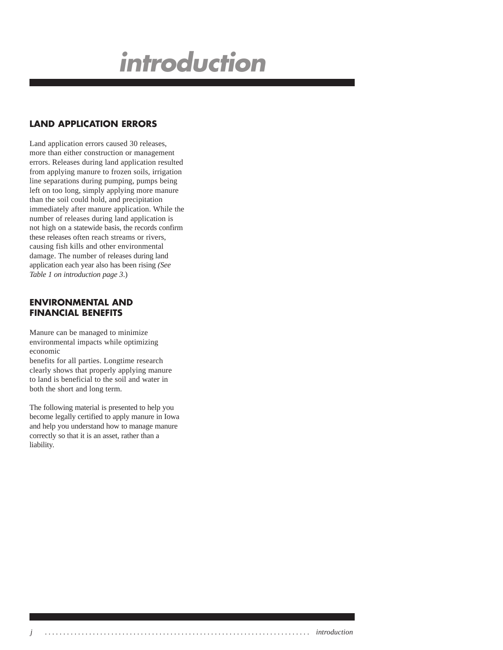# **introduction**

## **LAND APPLICATION ERRORS**

Land application errors caused 30 releases, more than either construction or management errors. Releases during land application resulted from applying manure to frozen soils, irrigation line separations during pumping, pumps being left on too long, simply applying more manure than the soil could hold, and precipitation immediately after manure application. While the number of releases during land application is not high on a statewide basis, the records confirm these releases often reach streams or rivers, causing fish kills and other environmental damage. The number of releases during land application each year also has been rising *(See Table 1 on introduction page 3*.)

## **ENVIRONMENTAL AND FINANCIAL BENEFITS**

Manure can be managed to minimize environmental impacts while optimizing economic

benefits for all parties. Longtime research clearly shows that properly applying manure to land is beneficial to the soil and water in both the short and long term.

The following material is presented to help you become legally certified to apply manure in Iowa and help you understand how to manage manure correctly so that it is an asset, rather than a liability.